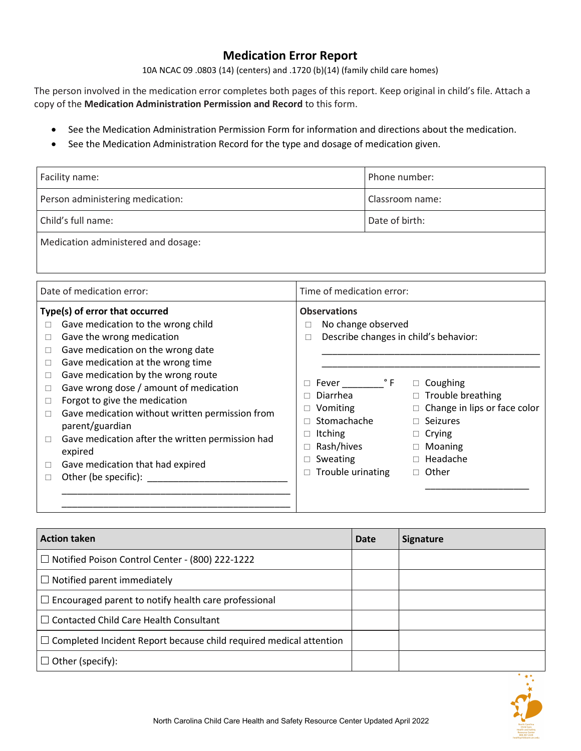# **Medication Error Report**

10A NCAC 09 .0803 (14) (centers) and .1720 (b)(14) (family child care homes)

The person involved in the medication error completes both pages of this report. Keep original in child's file. Attach a copy of the **Medication Administration Permission and Record** to this form.

- See the Medication Administration Permission Form for information and directions about the medication.
- See the Medication Administration Record for the type and dosage of medication given.

| Facility name:                      | Phone number:   |  |  |
|-------------------------------------|-----------------|--|--|
| Person administering medication:    | Classroom name: |  |  |
| Child's full name:                  | Date of birth:  |  |  |
| Medication administered and dosage: |                 |  |  |

| Date of medication error:                                                                                                                                                                                                                                                                                                                                                                                                                                                                                                             | Time of medication error:                                                                                                                                                                                                                                                                                                                                                                                                             |
|---------------------------------------------------------------------------------------------------------------------------------------------------------------------------------------------------------------------------------------------------------------------------------------------------------------------------------------------------------------------------------------------------------------------------------------------------------------------------------------------------------------------------------------|---------------------------------------------------------------------------------------------------------------------------------------------------------------------------------------------------------------------------------------------------------------------------------------------------------------------------------------------------------------------------------------------------------------------------------------|
| Type(s) of error that occurred<br>Gave medication to the wrong child<br>Gave the wrong medication<br>Gave medication on the wrong date<br>П<br>Gave medication at the wrong time<br>Gave medication by the wrong route<br>Gave wrong dose / amount of medication<br>□<br>Forgot to give the medication<br>□<br>Gave medication without written permission from<br>$\Box$<br>parent/guardian<br>Gave medication after the written permission had<br>□<br>expired<br>Gave medication that had expired<br>$\Box$<br>Other (be specific): | <b>Observations</b><br>No change observed<br>п<br>Describe changes in child's behavior:<br>$\Box$<br>$^{\circ}$ F<br>$\Box$ Coughing<br>Fever<br>$\Box$ Trouble breathing<br>Diarrhea<br>П<br>$\Box$ Change in lips or face color<br>Vomiting<br>Stomachache<br>$\Box$ Seizures<br><b>Itching</b><br>$\Box$ Crying<br>□<br>Rash/hives<br>$\Box$ Moaning<br>$\Box$ Headache<br>Sweating<br>Trouble urinating<br>$\Box$ Other<br>$\Box$ |

| <b>Action taken</b>                                                       | Date | <b>Signature</b> |
|---------------------------------------------------------------------------|------|------------------|
| $\Box$ Notified Poison Control Center - (800) 222-1222                    |      |                  |
| $\Box$ Notified parent immediately                                        |      |                  |
| $\Box$ Encouraged parent to notify health care professional               |      |                  |
| $\Box$ Contacted Child Care Health Consultant                             |      |                  |
| $\Box$ Completed Incident Report because child required medical attention |      |                  |
| $\Box$ Other (specify):                                                   |      |                  |